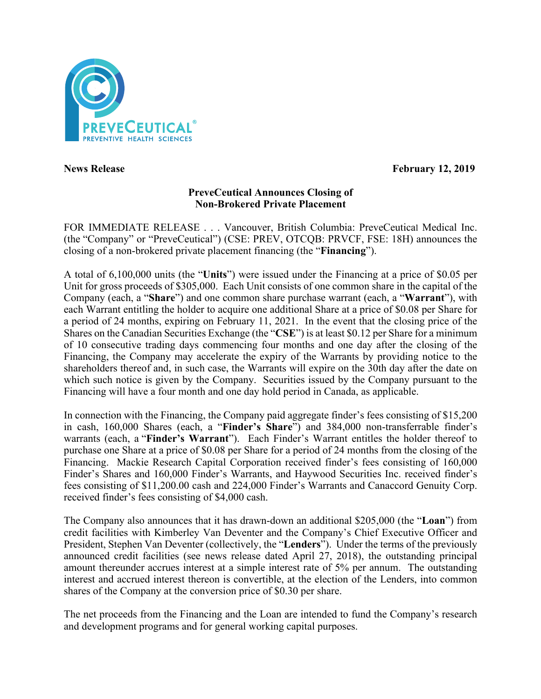

**News Release February 12, 2019** 

# **PreveCeutical Announces Closing of Non-Brokered Private Placement**

FOR IMMEDIATE RELEASE . . . Vancouver, British Columbia: PreveCeutical Medical Inc. (the "Company" or "PreveCeutical") (CSE: PREV, OTCQB: PRVCF, FSE: 18H) announces the closing of a non-brokered private placement financing (the "**Financing**").

A total of 6,100,000 units (the "**Units**") were issued under the Financing at a price of \$0.05 per Unit for gross proceeds of \$305,000. Each Unit consists of one common share in the capital of the Company (each, a "**Share**") and one common share purchase warrant (each, a "**Warrant**"), with each Warrant entitling the holder to acquire one additional Share at a price of \$0.08 per Share for a period of 24 months, expiring on February 11, 2021. In the event that the closing price of the Shares on the Canadian Securities Exchange (the "**CSE**") is at least \$0.12 per Share for a minimum of 10 consecutive trading days commencing four months and one day after the closing of the Financing, the Company may accelerate the expiry of the Warrants by providing notice to the shareholders thereof and, in such case, the Warrants will expire on the 30th day after the date on which such notice is given by the Company. Securities issued by the Company pursuant to the Financing will have a four month and one day hold period in Canada, as applicable.

In connection with the Financing, the Company paid aggregate finder's fees consisting of \$15,200 in cash, 160,000 Shares (each, a "**Finder's Share**") and 384,000 non-transferrable finder's warrants (each, a "**Finder's Warrant**"). Each Finder's Warrant entitles the holder thereof to purchase one Share at a price of \$0.08 per Share for a period of 24 months from the closing of the Financing. Mackie Research Capital Corporation received finder's fees consisting of 160,000 Finder's Shares and 160,000 Finder's Warrants, and Haywood Securities Inc. received finder's fees consisting of \$11,200.00 cash and 224,000 Finder's Warrants and Canaccord Genuity Corp. received finder's fees consisting of \$4,000 cash.

The Company also announces that it has drawn-down an additional \$205,000 (the "**Loan**") from credit facilities with Kimberley Van Deventer and the Company's Chief Executive Officer and President, Stephen Van Deventer (collectively, the "**Lenders**"). Under the terms of the previously announced credit facilities (see news release dated April 27, 2018), the outstanding principal amount thereunder accrues interest at a simple interest rate of 5% per annum. The outstanding interest and accrued interest thereon is convertible, at the election of the Lenders, into common shares of the Company at the conversion price of \$0.30 per share.

The net proceeds from the Financing and the Loan are intended to fund the Company's research and development programs and for general working capital purposes.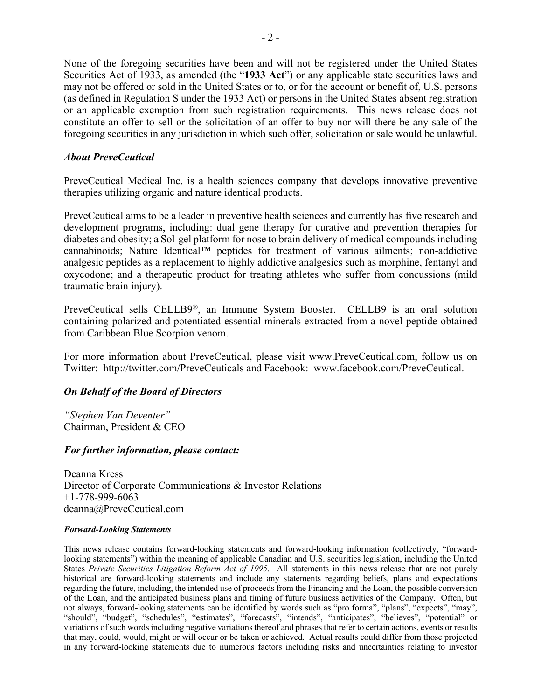None of the foregoing securities have been and will not be registered under the United States Securities Act of 1933, as amended (the "**1933 Act**") or any applicable state securities laws and may not be offered or sold in the United States or to, or for the account or benefit of, U.S. persons (as defined in Regulation S under the 1933 Act) or persons in the United States absent registration or an applicable exemption from such registration requirements. This news release does not constitute an offer to sell or the solicitation of an offer to buy nor will there be any sale of the foregoing securities in any jurisdiction in which such offer, solicitation or sale would be unlawful.

## *About PreveCeutical*

PreveCeutical Medical Inc. is a health sciences company that develops innovative preventive therapies utilizing organic and nature identical products.

PreveCeutical aims to be a leader in preventive health sciences and currently has five research and development programs, including: dual gene therapy for curative and prevention therapies for diabetes and obesity; a Sol-gel platform for nose to brain delivery of medical compounds including cannabinoids; Nature Identical™ peptides for treatment of various ailments; non-addictive analgesic peptides as a replacement to highly addictive analgesics such as morphine, fentanyl and oxycodone; and a therapeutic product for treating athletes who suffer from concussions (mild traumatic brain injury).

PreveCeutical sells CELLB9®, an Immune System Booster. CELLB9 is an oral solution containing polarized and potentiated essential minerals extracted from a novel peptide obtained from Caribbean Blue Scorpion venom.

For more information about PreveCeutical, please visit www.PreveCeutical.com, follow us on Twitter: http://twitter.com/PreveCeuticals and Facebook: www.facebook.com/PreveCeutical.

## *On Behalf of the Board of Directors*

*"Stephen Van Deventer"* Chairman, President & CEO

#### *For further information, please contact:*

Deanna Kress Director of Corporate Communications & Investor Relations +1-778-999-6063 deanna@PreveCeutical.com

#### *Forward-Looking Statements*

This news release contains forward-looking statements and forward-looking information (collectively, "forwardlooking statements") within the meaning of applicable Canadian and U.S. securities legislation, including the United States *Private Securities Litigation Reform Act of 1995*. All statements in this news release that are not purely historical are forward-looking statements and include any statements regarding beliefs, plans and expectations regarding the future, including, the intended use of proceeds from the Financing and the Loan, the possible conversion of the Loan, and the anticipated business plans and timing of future business activities of the Company. Often, but not always, forward-looking statements can be identified by words such as "pro forma", "plans", "expects", "may", "should", "budget", "schedules", "estimates", "forecasts", "intends", "anticipates", "believes", "potential" or variations of such words including negative variations thereof and phrases that refer to certain actions, events or results that may, could, would, might or will occur or be taken or achieved. Actual results could differ from those projected in any forward-looking statements due to numerous factors including risks and uncertainties relating to investor